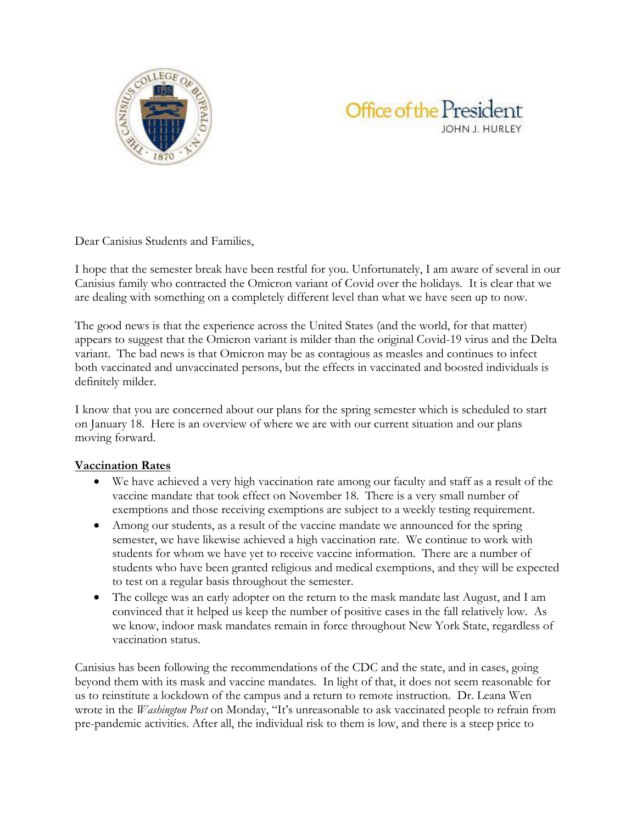



Dear Canisius Students and Families,

I hope that the semester break have been restful for you. Unfortunately, I am aware of several in our Canisius family who contracted the Omicron variant of Covid over the holidays. It is clear that we are dealing with something on a completely different level than what we have seen up to now.

The good news is that the experience across the United States (and the world, for that matter) appears to suggest that the Omicron variant is milder than the original Covid-19 virus and the Delta variant. The bad news is that Omicron may be as contagious as measles and continues to infect both vaccinated and unvaccinated persons, but the effects in vaccinated and boosted individuals is definitely milder.

I know that you are concerned about our plans for the spring semester which is scheduled to start on January 18. Here is an overview of where we are with our current situation and our plans moving forward.

## **Vaccination Rates**

- We have achieved a very high vaccination rate among our faculty and staff as a result of the vaccine mandate that took effect on November 18. There is a very small number of exemptions and those receiving exemptions are subject to a weekly testing requirement.
- Among our students, as a result of the vaccine mandate we announced for the spring semester, we have likewise achieved a high vaccination rate. We continue to work with students for whom we have yet to receive vaccine information. There are a number of students who have been granted religious and medical exemptions, and they will be expected to test on a regular basis throughout the semester.
- The college was an early adopter on the return to the mask mandate last August, and I am convinced that it helped us keep the number of positive cases in the fall relatively low. As we know, indoor mask mandates remain in force throughout New York State, regardless of vaccination status.

Canisius has been following the recommendations of the CDC and the state, and in cases, going beyond them with its mask and vaccine mandates. In light of that, it does not seem reasonable for us to reinstitute a lockdown of the campus and a return to remote instruction. Dr. Leana Wen wrote in the *Washington Post* on Monday, "It's unreasonable to ask vaccinated people to refrain from pre-pandemic activities. After all, the individual risk to them is low, and there is a steep price to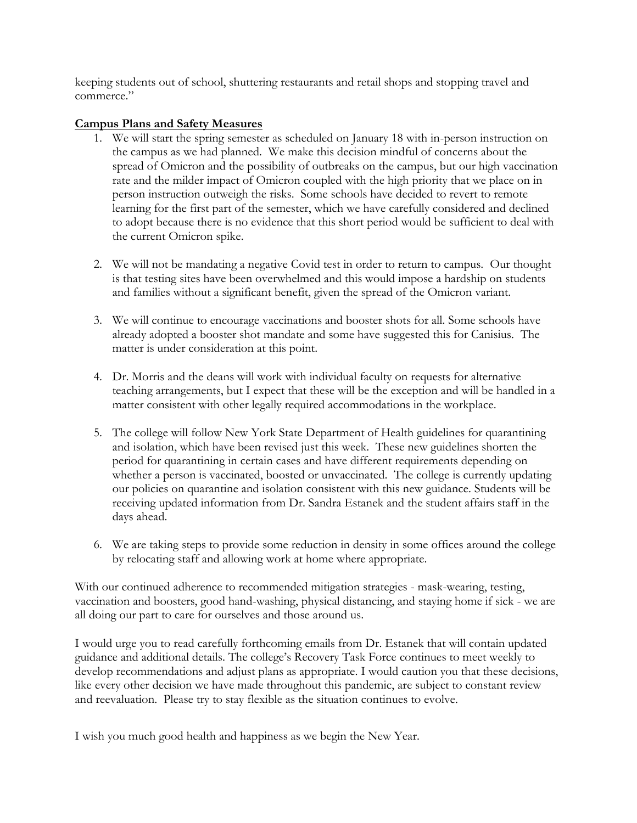keeping students out of school, shuttering restaurants and retail shops and stopping travel and commerce."

## **Campus Plans and Safety Measures**

- 1. We will start the spring semester as scheduled on January 18 with in-person instruction on the campus as we had planned. We make this decision mindful of concerns about the spread of Omicron and the possibility of outbreaks on the campus, but our high vaccination rate and the milder impact of Omicron coupled with the high priority that we place on in person instruction outweigh the risks. Some schools have decided to revert to remote learning for the first part of the semester, which we have carefully considered and declined to adopt because there is no evidence that this short period would be sufficient to deal with the current Omicron spike.
- 2. We will not be mandating a negative Covid test in order to return to campus. Our thought is that testing sites have been overwhelmed and this would impose a hardship on students and families without a significant benefit, given the spread of the Omicron variant.
- 3. We will continue to encourage vaccinations and booster shots for all. Some schools have already adopted a booster shot mandate and some have suggested this for Canisius. The matter is under consideration at this point.
- 4. Dr. Morris and the deans will work with individual faculty on requests for alternative teaching arrangements, but I expect that these will be the exception and will be handled in a matter consistent with other legally required accommodations in the workplace.
- 5. The college will follow New York State Department of Health guidelines for quarantining and isolation, which have been revised just this week. These new guidelines shorten the period for quarantining in certain cases and have different requirements depending on whether a person is vaccinated, boosted or unvaccinated. The college is currently updating our policies on quarantine and isolation consistent with this new guidance. Students will be receiving updated information from Dr. Sandra Estanek and the student affairs staff in the days ahead.
- 6. We are taking steps to provide some reduction in density in some offices around the college by relocating staff and allowing work at home where appropriate.

With our continued adherence to recommended mitigation strategies - mask-wearing, testing, vaccination and boosters, good hand-washing, physical distancing, and staying home if sick - we are all doing our part to care for ourselves and those around us.

I would urge you to read carefully forthcoming emails from Dr. Estanek that will contain updated guidance and additional details. The college's Recovery Task Force continues to meet weekly to develop recommendations and adjust plans as appropriate. I would caution you that these decisions, like every other decision we have made throughout this pandemic, are subject to constant review and reevaluation. Please try to stay flexible as the situation continues to evolve.

I wish you much good health and happiness as we begin the New Year.